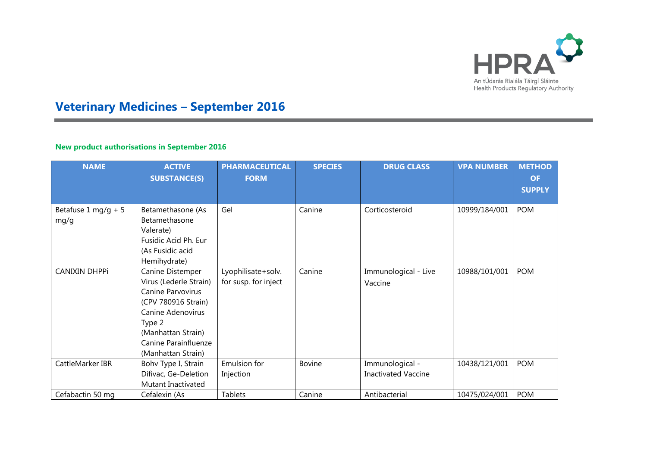

## **Veterinary Medicines – September 2016**

## **New product authorisations in September 2016**

| <b>NAME</b>                 | <b>ACTIVE</b><br><b>SUBSTANCE(S)</b>                                                                                                                                                       | <b>PHARMACEUTICAL</b><br><b>FORM</b>       | <b>SPECIES</b> | <b>DRUG CLASS</b>                             | <b>VPA NUMBER</b> | <b>METHOD</b><br><b>OF</b><br><b>SUPPLY</b> |
|-----------------------------|--------------------------------------------------------------------------------------------------------------------------------------------------------------------------------------------|--------------------------------------------|----------------|-----------------------------------------------|-------------------|---------------------------------------------|
| Betafuse 1 mg/g + 5<br>mg/g | Betamethasone (As<br>Betamethasone<br>Valerate)<br>Fusidic Acid Ph. Eur<br>(As Fusidic acid                                                                                                | Gel                                        | Canine         | Corticosteroid                                | 10999/184/001     | <b>POM</b>                                  |
| <b>CANIXIN DHPPi</b>        | Hemihydrate)<br>Canine Distemper<br>Virus (Lederle Strain)<br>Canine Parvovirus<br>(CPV 780916 Strain)<br><b>Canine Adenovirus</b><br>Type 2<br>(Manhattan Strain)<br>Canine Parainfluenze | Lyophilisate+solv.<br>for susp. for inject | Canine         | Immunological - Live<br>Vaccine               | 10988/101/001     | <b>POM</b>                                  |
| CattleMarker IBR            | (Manhattan Strain)<br>Bohv Type I, Strain<br>Difivac, Ge-Deletion<br>Mutant Inactivated                                                                                                    | Emulsion for<br>Injection                  | <b>Bovine</b>  | Immunological -<br><b>Inactivated Vaccine</b> | 10438/121/001     | <b>POM</b>                                  |
| Cefabactin 50 mg            | Cefalexin (As                                                                                                                                                                              | Tablets                                    | Canine         | Antibacterial                                 | 10475/024/001     | <b>POM</b>                                  |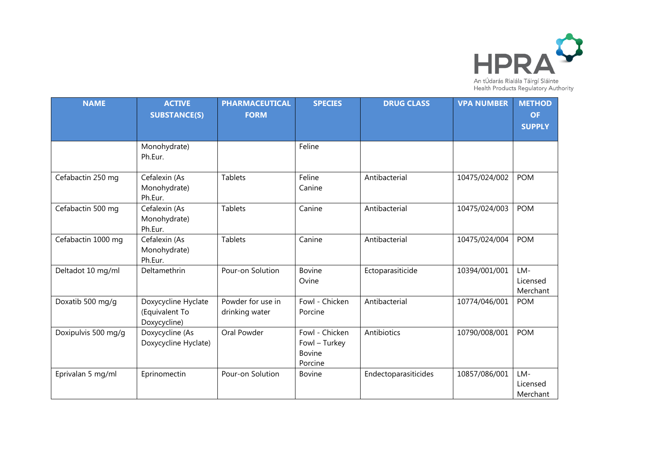

| <b>NAME</b>         | <b>ACTIVE</b><br><b>SUBSTANCE(S)</b>                  | <b>PHARMACEUTICAL</b><br><b>FORM</b> | <b>SPECIES</b>                                              | <b>DRUG CLASS</b>    | <b>VPA NUMBER</b> | <b>METHOD</b><br><b>OF</b><br><b>SUPPLY</b> |
|---------------------|-------------------------------------------------------|--------------------------------------|-------------------------------------------------------------|----------------------|-------------------|---------------------------------------------|
|                     | Monohydrate)<br>Ph.Eur.                               |                                      | Feline                                                      |                      |                   |                                             |
| Cefabactin 250 mg   | Cefalexin (As<br>Monohydrate)<br>Ph.Eur.              | <b>Tablets</b>                       | Feline<br>Canine                                            | Antibacterial        | 10475/024/002     | <b>POM</b>                                  |
| Cefabactin 500 mg   | Cefalexin (As<br>Monohydrate)<br>Ph.Eur.              | <b>Tablets</b>                       | Canine                                                      | Antibacterial        | 10475/024/003     | <b>POM</b>                                  |
| Cefabactin 1000 mg  | Cefalexin (As<br>Monohydrate)<br>Ph.Eur.              | <b>Tablets</b>                       | Canine                                                      | Antibacterial        | 10475/024/004     | <b>POM</b>                                  |
| Deltadot 10 mg/ml   | Deltamethrin                                          | Pour-on Solution                     | <b>Bovine</b><br>Ovine                                      | Ectoparasiticide     | 10394/001/001     | LM-<br>Licensed<br>Merchant                 |
| Doxatib 500 mg/g    | Doxycycline Hyclate<br>(Equivalent To<br>Doxycycline) | Powder for use in<br>drinking water  | Fowl - Chicken<br>Porcine                                   | Antibacterial        | 10774/046/001     | <b>POM</b>                                  |
| Doxipulvis 500 mg/g | Doxycycline (As<br>Doxycycline Hyclate)               | Oral Powder                          | Fowl - Chicken<br>Fowl - Turkey<br><b>Bovine</b><br>Porcine | Antibiotics          | 10790/008/001     | <b>POM</b>                                  |
| Eprivalan 5 mg/ml   | Eprinomectin                                          | Pour-on Solution                     | <b>Bovine</b>                                               | Endectoparasiticides | 10857/086/001     | LM-<br>Licensed<br>Merchant                 |